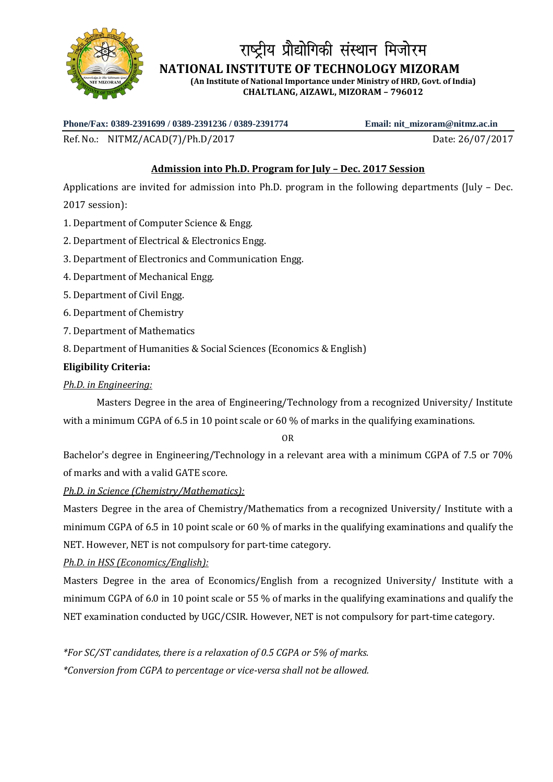

# ोय प्रौद्योगिकी संस्थान मिजोरम

 **NATIONAL INSTITUTE OF TECHNOLOGY MIZORAM**

**(An Institute of National Importance under Ministry of HRD, Govt. of India) CHALTLANG, AIZAWL, MIZORAM – 796012**

**Phone/Fax: 0389-2391699 / 0389-2391236 / 0389-2391774 Email: nit\_mizoram@nitmz.ac.in**

Ref. No.: NITMZ/ACAD(7)/Ph.D/2017 Date: 26/07/2017

# **Admission into Ph.D. Program for July – Dec. 2017 Session**

Applications are invited for admission into Ph.D. program in the following departments (July – Dec. 2017 session):

- 1. Department of Computer Science & Engg.
- 2. Department of Electrical & Electronics Engg.
- 3. Department of Electronics and Communication Engg.
- 4. Department of Mechanical Engg.
- 5. Department of Civil Engg.
- 6. Department of Chemistry
- 7. Department of Mathematics
- 8. Department of Humanities & Social Sciences (Economics & English)

## **Eligibility Criteria:**

## *Ph.D. in Engineering:*

Masters Degree in the area of Engineering/Technology from a recognized University/ Institute with a minimum CGPA of 6.5 in 10 point scale or 60 % of marks in the qualifying examinations.

OR

Bachelor's degree in Engineering/Technology in a relevant area with a minimum CGPA of 7.5 or 70% of marks and with a valid GATE score.

## *Ph.D. in Science (Chemistry/Mathematics):*

Masters Degree in the area of Chemistry/Mathematics from a recognized University/ Institute with a minimum CGPA of 6.5 in 10 point scale or 60 % of marks in the qualifying examinations and qualify the NET. However, NET is not compulsory for part-time category.

# *Ph.D. in HSS (Economics/English):*

Masters Degree in the area of Economics/English from a recognized University/ Institute with a minimum CGPA of 6.0 in 10 point scale or 55 % of marks in the qualifying examinations and qualify the NET examination conducted by UGC/CSIR. However, NET is not compulsory for part-time category.

*\*For SC/ST candidates, there is a relaxation of 0.5 CGPA or 5% of marks. \*Conversion from CGPA to percentage or vice-versa shall not be allowed.*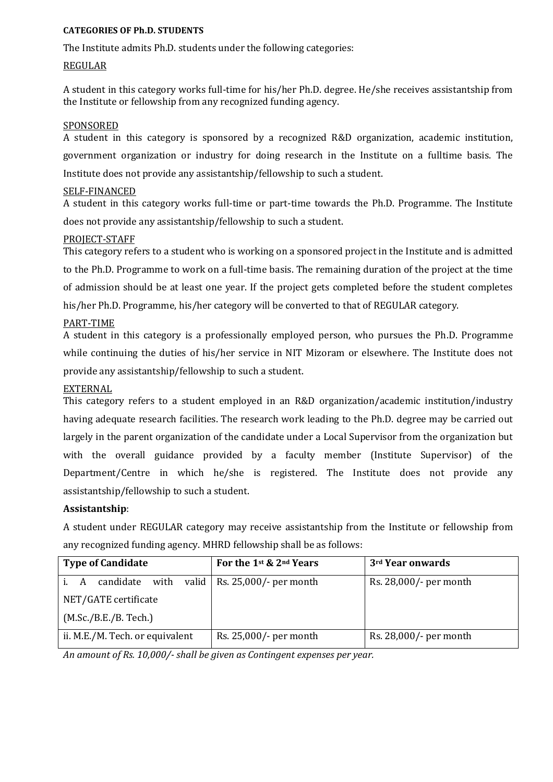## **CATEGORIES OF Ph.D. STUDENTS**

The Institute admits Ph.D. students under the following categories:

#### REGULAR

A student in this category works full-time for his/her Ph.D. degree. He/she receives assistantship from the Institute or fellowship from any recognized funding agency.

#### SPONSORED

A student in this category is sponsored by a recognized R&D organization, academic institution, government organization or industry for doing research in the Institute on a fulltime basis. The Institute does not provide any assistantship/fellowship to such a student.

#### SELF-FINANCED

A student in this category works full-time or part-time towards the Ph.D. Programme. The Institute does not provide any assistantship/fellowship to such a student.

## PROJECT-STAFF

This category refers to a student who is working on a sponsored project in the Institute and is admitted to the Ph.D. Programme to work on a full-time basis. The remaining duration of the project at the time of admission should be at least one year. If the project gets completed before the student completes his/her Ph.D. Programme, his/her category will be converted to that of REGULAR category.

## PART-TIME

A student in this category is a professionally employed person, who pursues the Ph.D. Programme while continuing the duties of his/her service in NIT Mizoram or elsewhere. The Institute does not provide any assistantship/fellowship to such a student.

## EXTERNAL

This category refers to a student employed in an R&D organization/academic institution/industry having adequate research facilities. The research work leading to the Ph.D. degree may be carried out largely in the parent organization of the candidate under a Local Supervisor from the organization but with the overall guidance provided by a faculty member (Institute Supervisor) of the Department/Centre in which he/she is registered. The Institute does not provide any assistantship/fellowship to such a student.

#### **Assistantship**:

A student under REGULAR category may receive assistantship from the Institute or fellowship from any recognized funding agency. MHRD fellowship shall be as follows:

| <b>Type of Candidate</b>        | For the 1st & 2nd Years           | 3rd Year onwards       |
|---------------------------------|-----------------------------------|------------------------|
| candidate with<br>A<br>i.       | valid   Rs. $25,000/$ - per month | Rs. 28,000/- per month |
| NET/GATE certificate            |                                   |                        |
| (M.Sc./B.E./B. Tech.)           |                                   |                        |
| ii. M.E./M. Tech. or equivalent | Rs. 25,000/- per month            | Rs. 28,000/- per month |

*An amount of Rs. 10,000/- shall be given as Contingent expenses per year.*